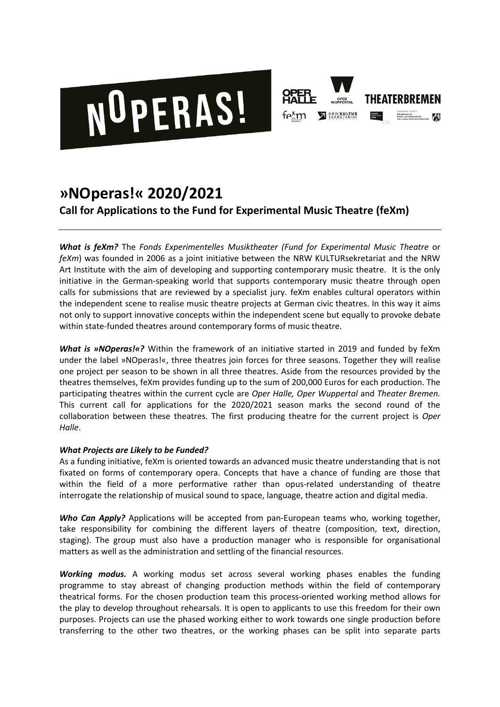



# **»NOperas!« 2020/2021**

**Call for Applications to the Fund for Experimental Music Theatre (feXm)**

*What is feXm?* The *Fonds Experimentelles Musiktheater (Fund for Experimental Music Theatre* or *feXm*) was founded in 2006 as a joint initiative between the NRW KULTURsekretariat and the NRW Art Institute with the aim of developing and supporting contemporary music theatre. It is the only initiative in the German-speaking world that supports contemporary music theatre through open calls for submissions that are reviewed by a specialist jury. feXm enables cultural operators within the independent scene to realise music theatre projects at German civic theatres. In this way it aims not only to support innovative concepts within the independent scene but equally to provoke debate within state-funded theatres around contemporary forms of music theatre.

*What is »NOperas!«?* Within the framework of an initiative started in 2019 and funded by feXm under the label »NOperas!«, three theatres join forces for three seasons. Together they will realise one project per season to be shown in all three theatres. Aside from the resources provided by the theatres themselves, feXm provides funding up to the sum of 200,000 Euros for each production. The participating theatres within the current cycle are *Oper Halle, Oper Wuppertal* and *Theater Bremen.*  This current call for applications for the 2020/2021 season marks the second round of the collaboration between these theatres. The first producing theatre for the current project is *Oper Halle*.

# *What Projects are Likely to be Funded?*

As a funding initiative, feXm is oriented towards an advanced music theatre understanding that is not fixated on forms of contemporary opera. Concepts that have a chance of funding are those that within the field of a more performative rather than opus-related understanding of theatre interrogate the relationship of musical sound to space, language, theatre action and digital media.

*Who Can Apply?* Applications will be accepted from pan-European teams who, working together, take responsibility for combining the different layers of theatre (composition, text, direction, staging). The group must also have a production manager who is responsible for organisational matters as well as the administration and settling of the financial resources.

*Working modus.* A working modus set across several working phases enables the funding programme to stay abreast of changing production methods within the field of contemporary theatrical forms. For the chosen production team this process-oriented working method allows for the play to develop throughout rehearsals. It is open to applicants to use this freedom for their own purposes. Projects can use the phased working either to work towards one single production before transferring to the other two theatres, or the working phases can be split into separate parts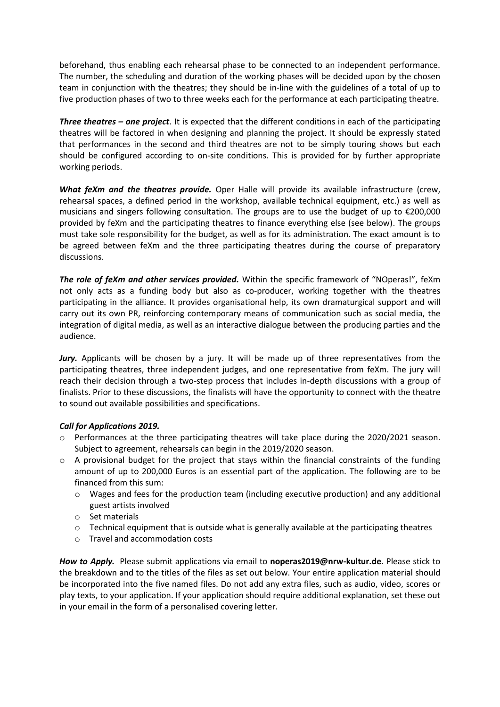beforehand, thus enabling each rehearsal phase to be connected to an independent performance. The number, the scheduling and duration of the working phases will be decided upon by the chosen team in conjunction with the theatres; they should be in-line with the guidelines of a total of up to five production phases of two to three weeks each for the performance at each participating theatre.

*Three theatres – one project*. It is expected that the different conditions in each of the participating theatres will be factored in when designing and planning the project. It should be expressly stated that performances in the second and third theatres are not to be simply touring shows but each should be configured according to on-site conditions. This is provided for by further appropriate working periods.

*What feXm and the theatres provide.* Oper Halle will provide its available infrastructure (crew, rehearsal spaces, a defined period in the workshop, available technical equipment, etc.) as well as musicians and singers following consultation. The groups are to use the budget of up to €200,000 provided by feXm and the participating theatres to finance everything else (see below). The groups must take sole responsibility for the budget, as well as for its administration. The exact amount is to be agreed between feXm and the three participating theatres during the course of preparatory discussions.

*The role of feXm and other services provided.* Within the specific framework of "NOperas!", feXm not only acts as a funding body but also as co-producer, working together with the theatres participating in the alliance. It provides organisational help, its own dramaturgical support and will carry out its own PR, reinforcing contemporary means of communication such as social media, the integration of digital media, as well as an interactive dialogue between the producing parties and the audience.

*Jury.* Applicants will be chosen by a jury. It will be made up of three representatives from the participating theatres, three independent judges, and one representative from feXm. The jury will reach their decision through a two-step process that includes in-depth discussions with a group of finalists. Prior to these discussions, the finalists will have the opportunity to connect with the theatre to sound out available possibilities and specifications.

### *Call for Applications 2019.*

- o Performances at the three participating theatres will take place during the 2020/2021 season. Subject to agreement, rehearsals can begin in the 2019/2020 season.
- $\circ$  A provisional budget for the project that stays within the financial constraints of the funding amount of up to 200,000 Euros is an essential part of the application. The following are to be financed from this sum:
	- $\circ$  Wages and fees for the production team (including executive production) and any additional guest artists involved
	- o Set materials
	- o Technical equipment that is outside what is generally available at the participating theatres
	- o Travel and accommodation costs

*How to Apply.* Please submit applications via email to **noperas2019@nrw-kultur.de**. Please stick to the breakdown and to the titles of the files as set out below. Your entire application material should be incorporated into the five named files. Do not add any extra files, such as audio, video, scores or play texts, to your application. If your application should require additional explanation, set these out in your email in the form of a personalised covering letter.